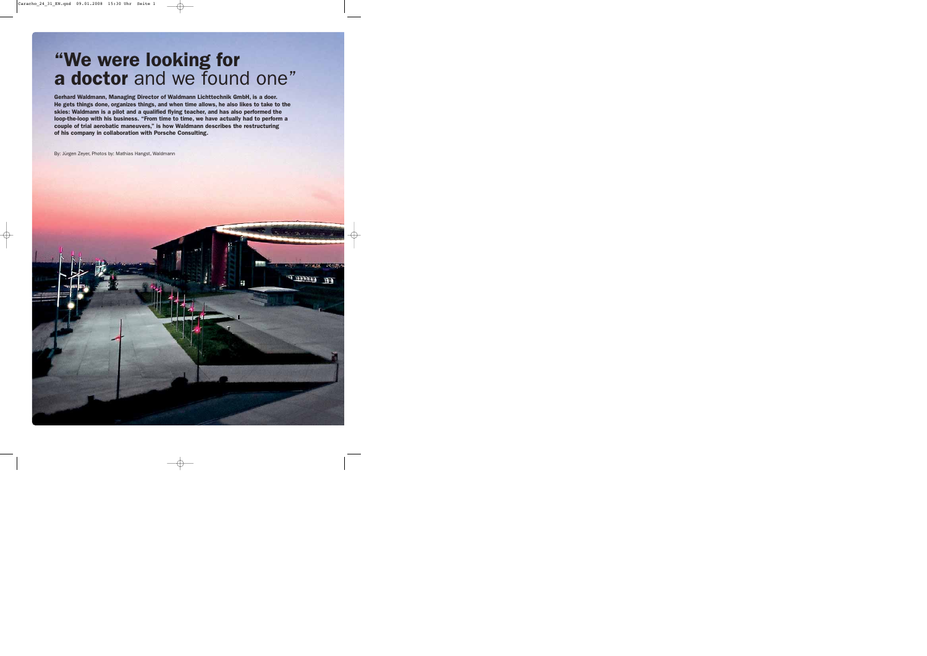# **"We were looking for**  a doctor and we found one"

**Gerhard Waldmann, Managing Director of Waldmann Lichttechnik GmbH, is a doer. He gets things done, organizes things, and when time allows, he also likes to take to the skies: Waldmann is a pilot and a qualified flying teacher, and has also performed the loop-the-loop with his business. "From time to time, we have actually had to perform a couple of trial aerobatic maneuvers," is how Waldmann describes the restructuring of his company in collaboration with Porsche Consulting.**

By: Jürgen Zeyer, Photos by: Mathias Hangst, Waldmann

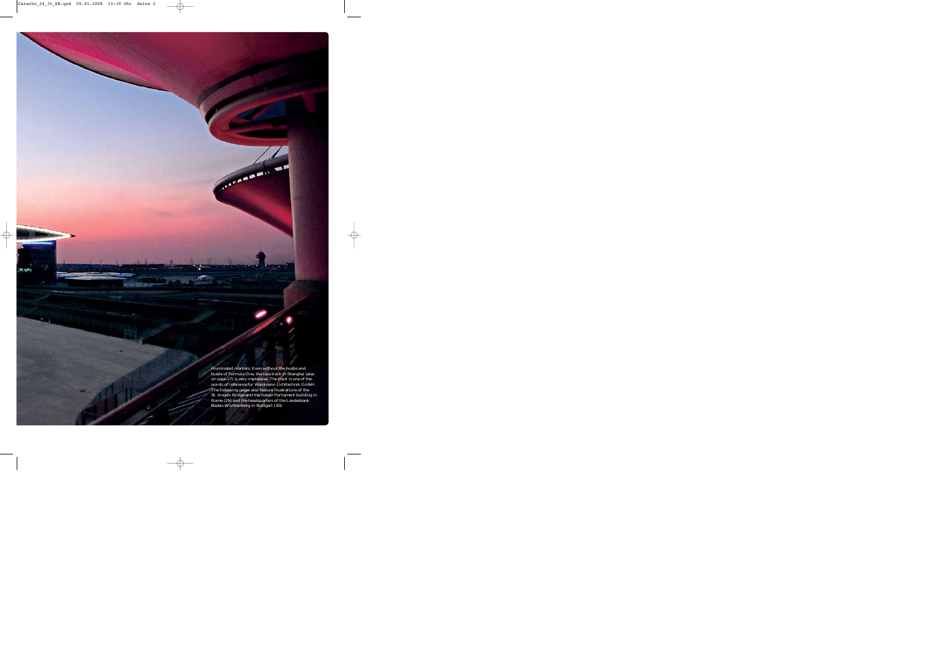Illuminated markers: Even without the hustle and bustle of Formula One, the race track in Shanghai (also on page 27) is very impressive. The track is one of the points of reference for Waldmann Lichttechnik GmbH. The following pages also feature illustrations of the St. Angelo Bridge and the Italian Parliament building in Rome (29) and the headquarters of the Landesbank Baden-Württemberg in Stuttgart (30).

**CONTRACTOR** 

用片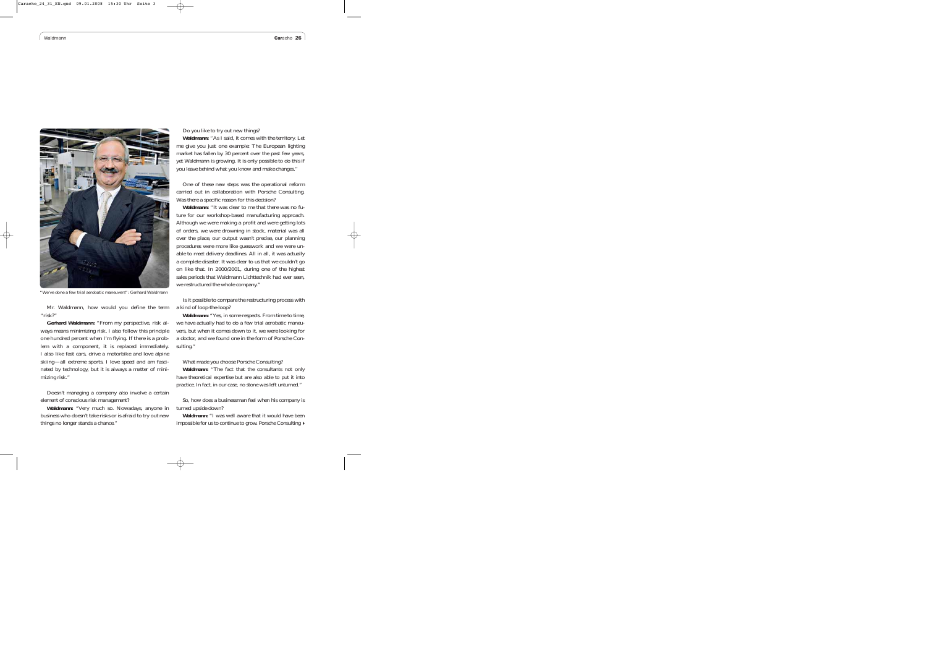

"We've done a few trial aerobatic maneuvers": Gerhard Waldmann

*Mr. Waldmann, how would you define the term "risk?"*

**Gerhard Waldmann:** "From my perspective, risk always means minimizing risk. I also follow this principle one hundred percent when I'm flying. If there is a problem with a component, it is replaced immediately. I also like fast cars, drive a motorbike and love alpine skiing—all extreme sports. I love speed and am fascinated by technology, but it is always a matter of minimizing risk."

# *Doesn't managing a company also involve a certain element of conscious risk management?*

**Waldmann:** "Very much so. Nowadays, anyone in business who doesn't take risks or is afraid to try out new things no longer stands a chance."

#### *Do you like to try out new things?*

**Waldmann:** "As I said, it comes with the territory. Let me give you just one example: The European lighting market has fallen by 30 percent over the past few years, yet Waldmann is growing. It is only possible to do this if you leave behind what you know and make changes."

# *One of these new steps was the operational reform carried out in collaboration with Porsche Consulting. Was there a specific reason for this decision?*

**Waldmann:** "It was clear to me that there was no future for our workshop-based manufacturing approach. Although we were making a profit and were getting lots of orders, we were drowning in stock, material was all over the place, our output wasn't precise, our planning procedures were more like guesswork and we were unable to meet delivery deadlines. All in all, it was actually a complete disaster. It was clear to us that we couldn't go on like that. In 2000/2001, during one of the highest sales periods that Waldmann Lichttechnik had ever seen, we restructured the whole company."

## *Is it possible to compare the restructuring process with a kind of loop-the-loop?*

**Waldmann:** "Yes, in some respects. From time to time, we have actually had to do a few trial aerobatic maneuvers, but when it comes down to it, we were looking for a doctor, and we found one in the form of Porsche Consulting."

#### *What made you choose Porsche Consulting?*

**Waldmann:** "The fact that the consultants not only have theoretical expertise but are also able to put it into practice. In fact, in our case, no stone was left unturned."

# *So, how does a businessman feel when his company is turned upside down?*

**Waldmann:** "I was well aware that it would have been impossible for us to continue to grow. Porsche Consulting  $\rightarrow$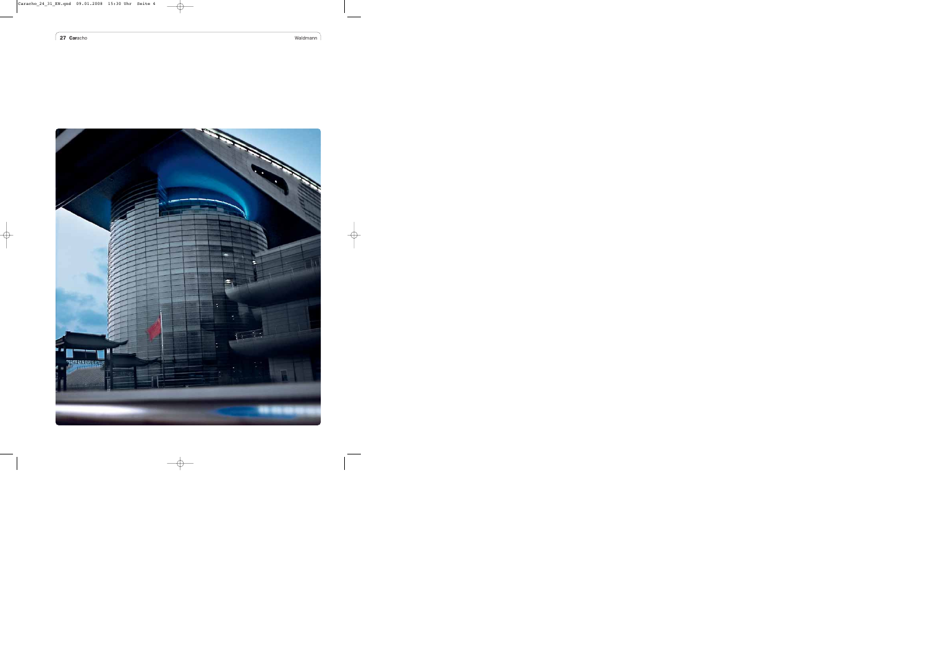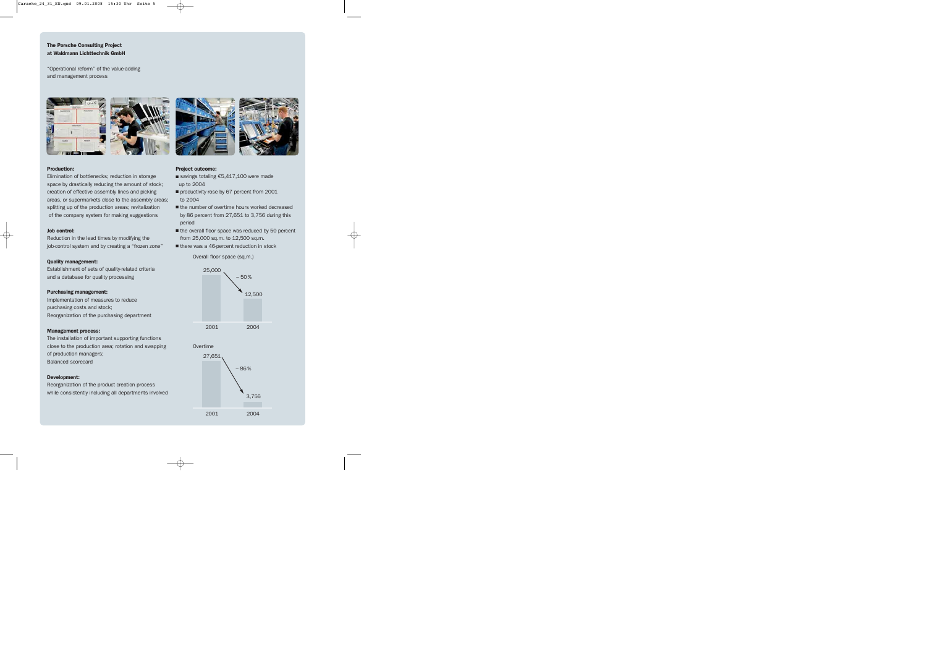## **The Porsche Consulting Project at Waldmann Lichttechnik GmbH**

"Operational reform" of the value-adding and management process







#### **Production:**

Elimination of bottlenecks; reduction in storage space by drastically reducing the amount of stock; creation of effective assembly lines and picking areas, or supermarkets close to the assembly areas; splitting up of the production areas; revitalization of the company system for making suggestions

#### **Job control:**

Reduction in the lead times by modifying the job-control system and by creating a "frozen zone"

#### **Quality management:**

Establishment of sets of quality-related criteria and a database for quality processing

#### **Purchasing management:**

Implementation of measures to reduce purchasing costs and stock; Reorganization of the purchasing department

#### **Management process:**

The installation of important supporting functions close to the production area; rotation and swapping of production managers; Balanced scorecard

#### **Development:**

Reorganization of the product creation process while consistently including all departments involved

#### **Project outcome:**

- savings totaling €5,417,100 were made up to 2004
- productivity rose by 67 percent from 2001 to 2004
- the number of overtime hours worked decreased by 86 percent from 27,651 to 3,756 during this period
- the overall floor space was reduced by 50 percent from 25,000 sq.m. to 12,500 sq.m.
- there was a 46-percent reduction in stock

Overall floor space (sq.m.)



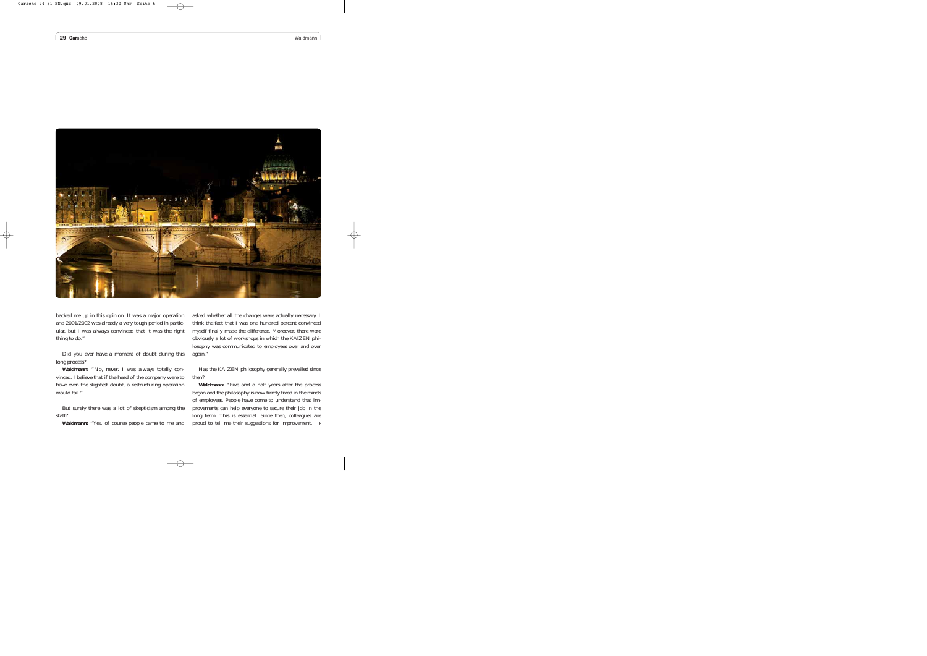

backed me up in this opinion. It was a major operation and 2001/2002 was already a very tough period in particular, but I was always convinced that it was the right thing to do."

# *Did you ever have a moment of doubt during this long process?*

**Waldmann:** "No, never. I was always totally convinced. I believe that if the head of the company were to have even the slightest doubt, a restructuring operation would fail."

*But surely there was a lot of skepticism among the staff?*

**Waldmann:** "Yes, of course people came to me and

asked whether all the changes were actually necessary. I think the fact that I was one hundred percent convinced myself finally made the difference. Moreover, there were obviously a lot of workshops in which the KAIZEN philosophy was communicated to employees over and over again."

# *Has the KAIZEN philosophy generally prevailed since then?*

**Waldmann:** "Five and a half years after the process began and the philosophy is now firmly fixed in the minds of employees. People have come to understand that improvements can help everyone to secure their job in the long term. This is essential. Since then, colleagues are proud to tell me their suggestions for improvement.  $\rightarrow$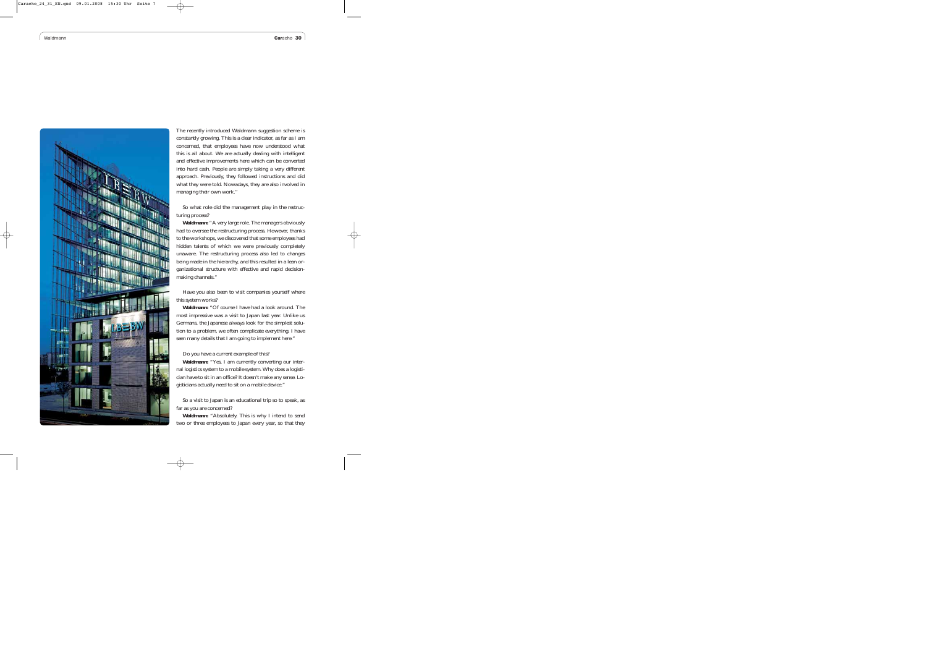

The recently introduced Waldmann suggestion scheme is constantly growing. This is a clear indicator, as far as I am concerned, that employees have now understood what this is all about. We are actually dealing with intelligent and effective improvements here which can be converted into hard cash. People are simply taking a very different approach. Previously, they followed instructions and did what they were told. Nowadays, they are also involved in managing their own work."

# *So what role did the management play in the restructuring process?*

**Waldmann:** "A very large role. The managers obviously had to oversee the restructuring process. However, thanks to the workshops, we discovered that some employees had hidden talents of which we were previously completely unaware. The restructuring process also led to changes being made in the hierarchy, and this resulted in a lean organizational structure with effective and rapid decisionmaking channels."

# *Have you also been to visit companies yourself where this system works?*

**Waldmann:** "Of course I have had a look around. The most impressive was a visit to Japan last year. Unlike us Germans, the Japanese always look for the simplest solution to a problem, we often complicate everything. I have seen many details that I am going to implement here."

#### *Do you have a current example of this?*

**Waldmann:** "Yes, I am currently converting our internal logistics system to a mobile system. Why does a logistician have to sit in an office? It doesn't make any sense. Logisticians actually need to sit on a mobile device."

# *So a visit to Japan is an educational trip so to speak, as far as you are concerned?*

**Waldmann:** "Absolutely. This is why I intend to send two or three employees to Japan every year, so that they